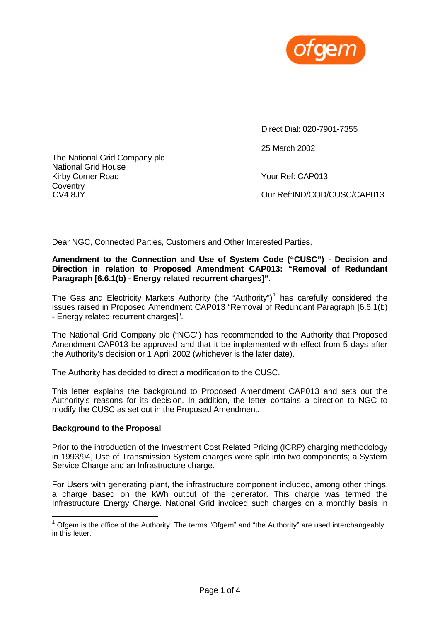

The National Grid Company plc National Grid House Kirby Corner Road Your Ref: CAP013 **Coventry** 

Direct Dial: 020-7901-7355

25 March 2002

CV4 8JY Our Ref:IND/COD/CUSC/CAP013

Dear NGC, Connected Parties, Customers and Other Interested Parties,

#### **Amendment to the Connection and Use of System Code ("CUSC") - Decision and Direction in relation to Proposed Amendment CAP013: "Removal of Redundant Paragraph [6.6.1(b) - Energy related recurrent charges]".**

The Gas and Electricity Markets Authority (the "Authority")<sup>1</sup> has carefully considered the issues raised in Proposed Amendment CAP013 "Removal of Redundant Paragraph [6.6.1(b) - Energy related recurrent charges]".

The National Grid Company plc ("NGC") has recommended to the Authority that Proposed Amendment CAP013 be approved and that it be implemented with effect from 5 days after the Authority's decision or 1 April 2002 (whichever is the later date).

The Authority has decided to direct a modification to the CUSC.

This letter explains the background to Proposed Amendment CAP013 and sets out the Authority's reasons for its decision. In addition, the letter contains a direction to NGC to modify the CUSC as set out in the Proposed Amendment.

## **Background to the Proposal**

l

Prior to the introduction of the Investment Cost Related Pricing (ICRP) charging methodology in 1993/94, Use of Transmission System charges were split into two components; a System Service Charge and an Infrastructure charge.

For Users with generating plant, the infrastructure component included, among other things, a charge based on the kWh output of the generator. This charge was termed the Infrastructure Energy Charge. National Grid invoiced such charges on a monthly basis in

 $1$  Ofgem is the office of the Authority. The terms "Ofgem" and "the Authority" are used interchangeably in this letter.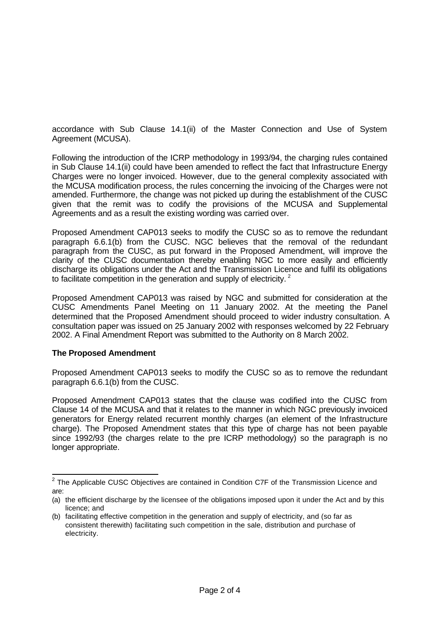accordance with Sub Clause 14.1(ii) of the Master Connection and Use of System Agreement (MCUSA).

Following the introduction of the ICRP methodology in 1993/94, the charging rules contained in Sub Clause 14.1(ii) could have been amended to reflect the fact that Infrastructure Energy Charges were no longer invoiced. However, due to the general complexity associated with the MCUSA modification process, the rules concerning the invoicing of the Charges were not amended. Furthermore, the change was not picked up during the establishment of the CUSC given that the remit was to codify the provisions of the MCUSA and Supplemental Agreements and as a result the existing wording was carried over.

Proposed Amendment CAP013 seeks to modify the CUSC so as to remove the redundant paragraph 6.6.1(b) from the CUSC. NGC believes that the removal of the redundant paragraph from the CUSC, as put forward in the Proposed Amendment, will improve the clarity of the CUSC documentation thereby enabling NGC to more easily and efficiently discharge its obligations under the Act and the Transmission Licence and fulfil its obligations to facilitate competition in the generation and supply of electricity.<sup>2</sup>

Proposed Amendment CAP013 was raised by NGC and submitted for consideration at the CUSC Amendments Panel Meeting on 11 January 2002. At the meeting the Panel determined that the Proposed Amendment should proceed to wider industry consultation. A consultation paper was issued on 25 January 2002 with responses welcomed by 22 February 2002. A Final Amendment Report was submitted to the Authority on 8 March 2002.

## **The Proposed Amendment**

Proposed Amendment CAP013 seeks to modify the CUSC so as to remove the redundant paragraph 6.6.1(b) from the CUSC.

Proposed Amendment CAP013 states that the clause was codified into the CUSC from Clause 14 of the MCUSA and that it relates to the manner in which NGC previously invoiced generators for Energy related recurrent monthly charges (an element of the Infrastructure charge). The Proposed Amendment states that this type of charge has not been payable since 1992/93 (the charges relate to the pre ICRP methodology) so the paragraph is no longer appropriate.

 2 The Applicable CUSC Objectives are contained in Condition C7F of the Transmission Licence and are:

<sup>(</sup>a) the efficient discharge by the licensee of the obligations imposed upon it under the Act and by this licence; and

<sup>(</sup>b) facilitating effective competition in the generation and supply of electricity, and (so far as consistent therewith) facilitating such competition in the sale, distribution and purchase of electricity.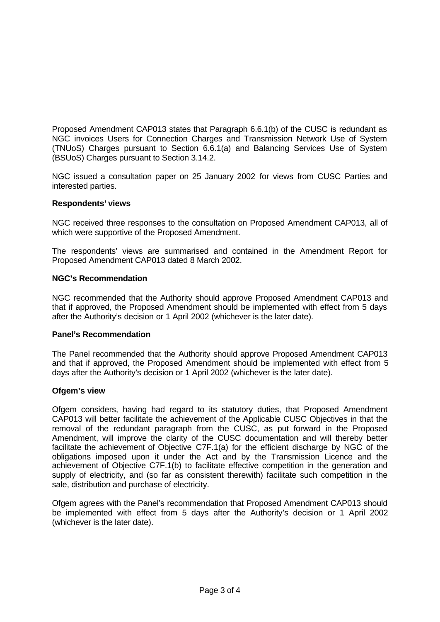Proposed Amendment CAP013 states that Paragraph 6.6.1(b) of the CUSC is redundant as NGC invoices Users for Connection Charges and Transmission Network Use of System (TNUoS) Charges pursuant to Section 6.6.1(a) and Balancing Services Use of System (BSUoS) Charges pursuant to Section 3.14.2.

NGC issued a consultation paper on 25 January 2002 for views from CUSC Parties and interested parties.

## **Respondents' views**

NGC received three responses to the consultation on Proposed Amendment CAP013, all of which were supportive of the Proposed Amendment.

The respondents' views are summarised and contained in the Amendment Report for Proposed Amendment CAP013 dated 8 March 2002.

## **NGC's Recommendation**

NGC recommended that the Authority should approve Proposed Amendment CAP013 and that if approved, the Proposed Amendment should be implemented with effect from 5 days after the Authority's decision or 1 April 2002 (whichever is the later date).

## **Panel's Recommendation**

The Panel recommended that the Authority should approve Proposed Amendment CAP013 and that if approved, the Proposed Amendment should be implemented with effect from 5 days after the Authority's decision or 1 April 2002 (whichever is the later date).

## **Ofgem's view**

Ofgem considers, having had regard to its statutory duties, that Proposed Amendment CAP013 will better facilitate the achievement of the Applicable CUSC Objectives in that the removal of the redundant paragraph from the CUSC, as put forward in the Proposed Amendment, will improve the clarity of the CUSC documentation and will thereby better facilitate the achievement of Objective C7F.1(a) for the efficient discharge by NGC of the obligations imposed upon it under the Act and by the Transmission Licence and the achievement of Objective C7F.1(b) to facilitate effective competition in the generation and supply of electricity, and (so far as consistent therewith) facilitate such competition in the sale, distribution and purchase of electricity.

Ofgem agrees with the Panel's recommendation that Proposed Amendment CAP013 should be implemented with effect from 5 days after the Authority's decision or 1 April 2002 (whichever is the later date).